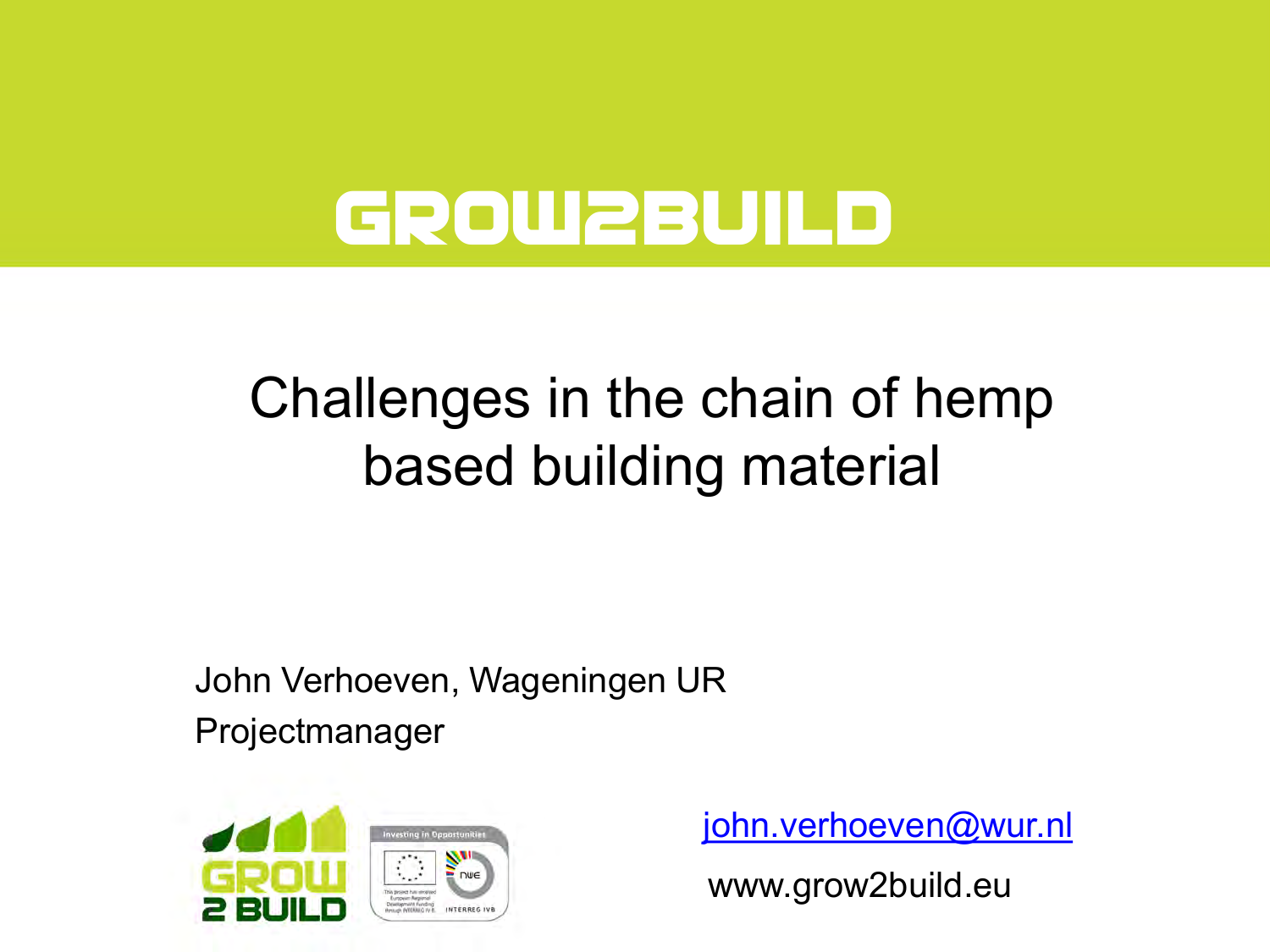# **Grow2Build**

### Challenges in the chain of hemp based building material

John Verhoeven, Wageningen UR

Projectmanager



[john.verhoeven@wur.nl](mailto:john.verhoeven@wur.nl)

www.grow2build.eu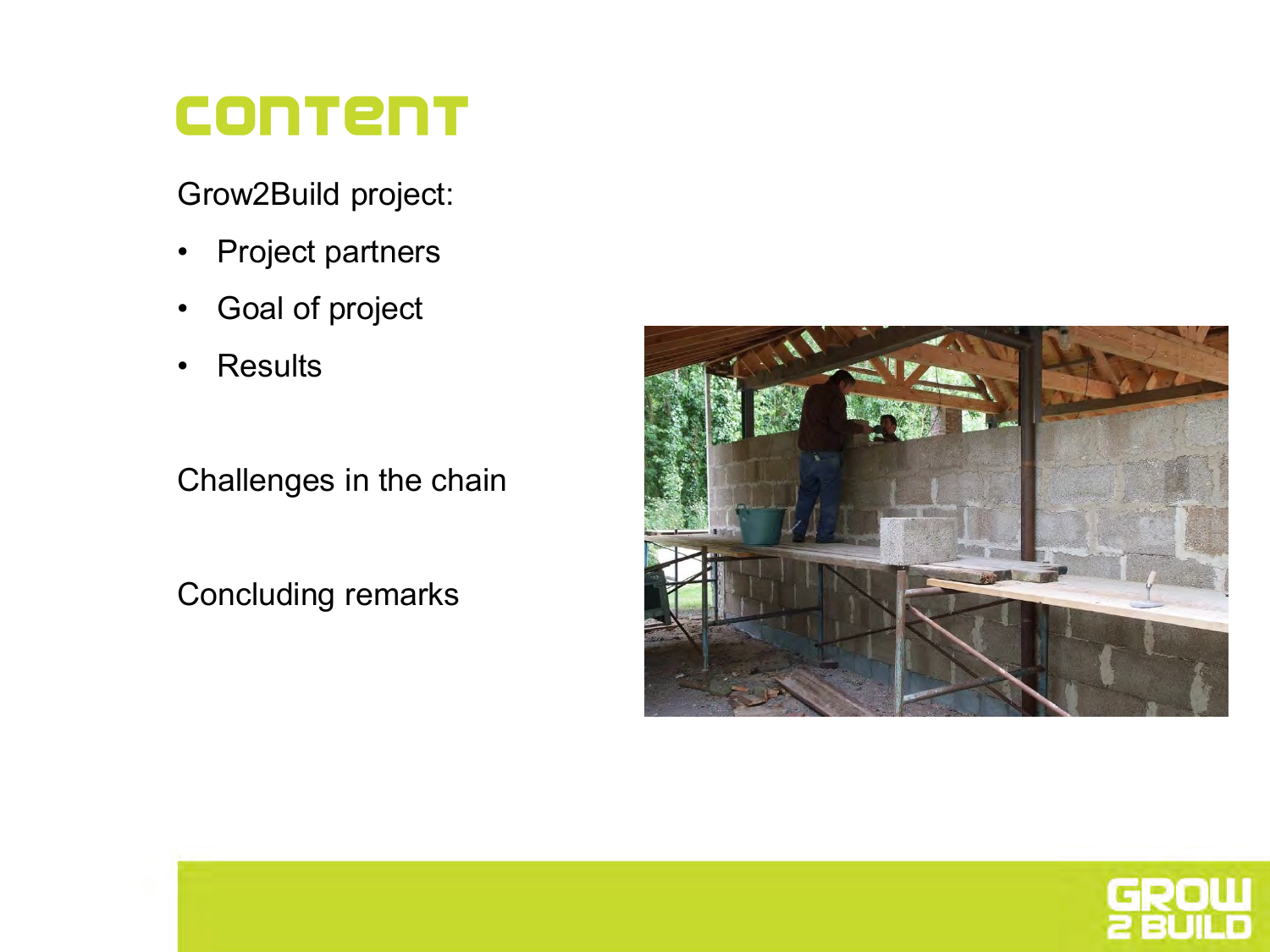#### **Content**

Grow2Build project:

- Project partners
- Goal of project
- Results

Challenges in the chain

Concluding remarks



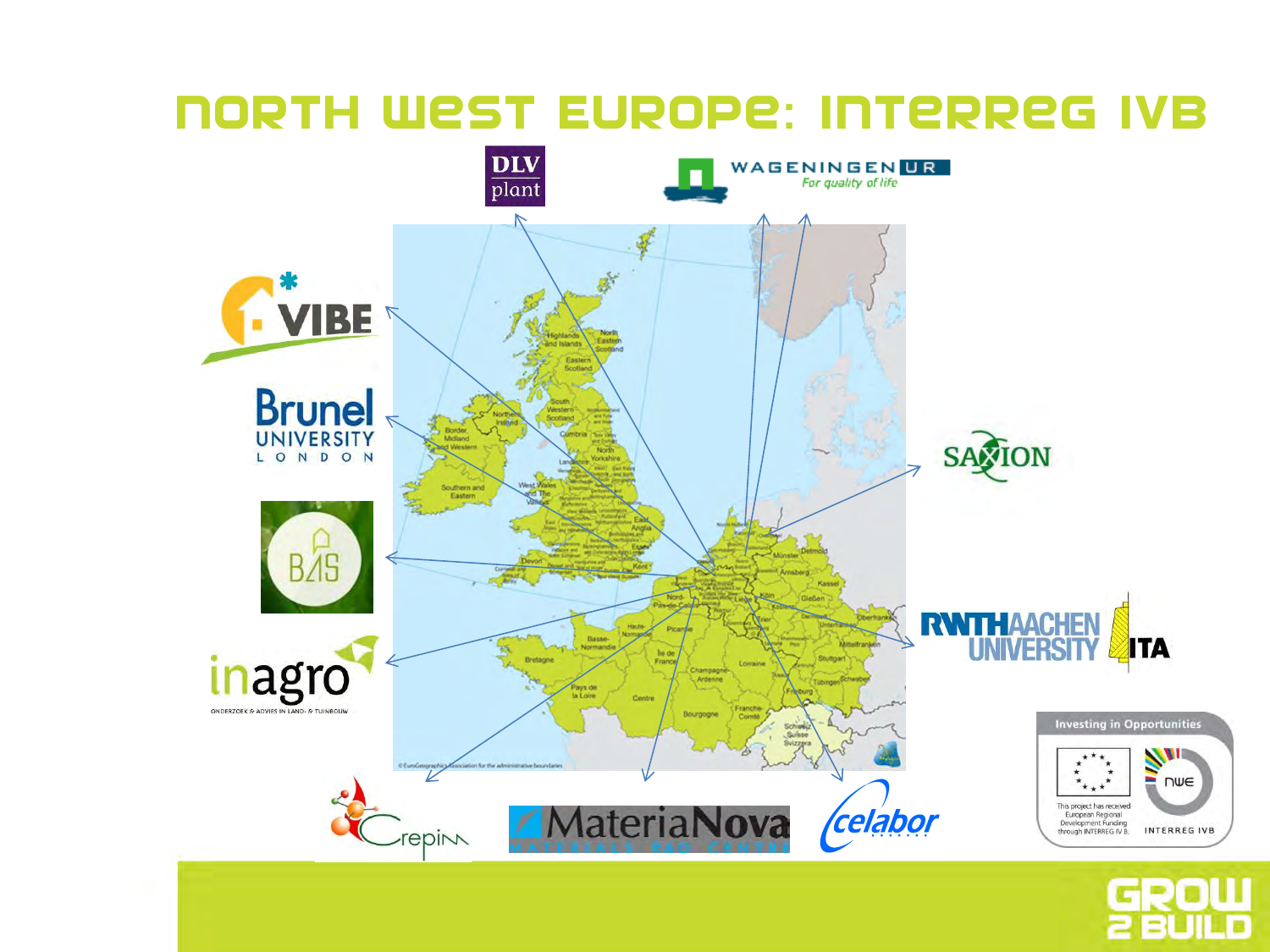#### North West Europe: Interreg IVb



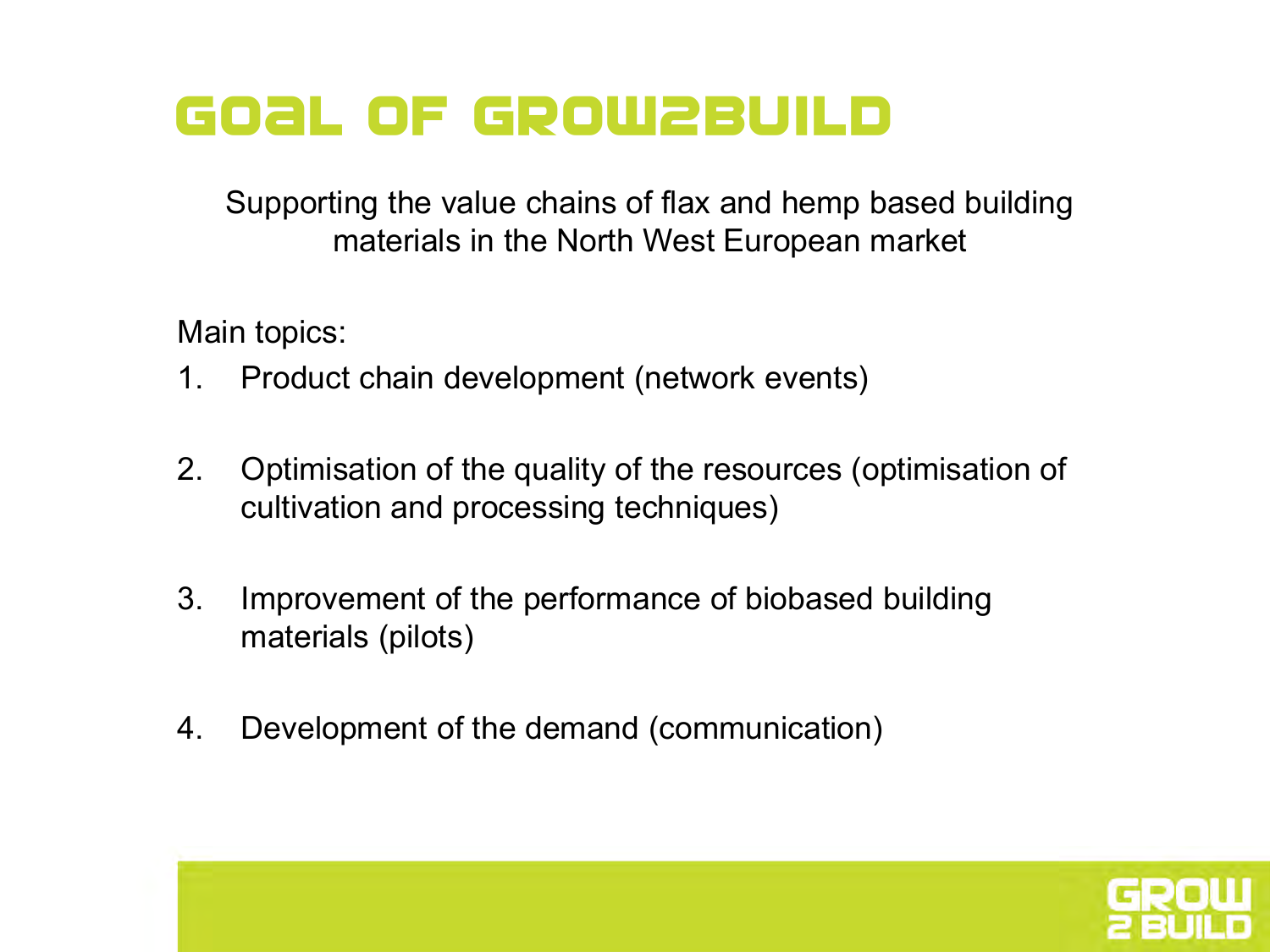#### **GOAL OF GROW2BUILD**

Supporting the value chains of flax and hemp based building materials in the North West European market

Main topics:

- 1. Product chain development (network events)
- 2. Optimisation of the quality of the resources (optimisation of cultivation and processing techniques)
- 3. Improvement of the performance of biobased building materials (pilots)
- 4. Development of the demand (communication)

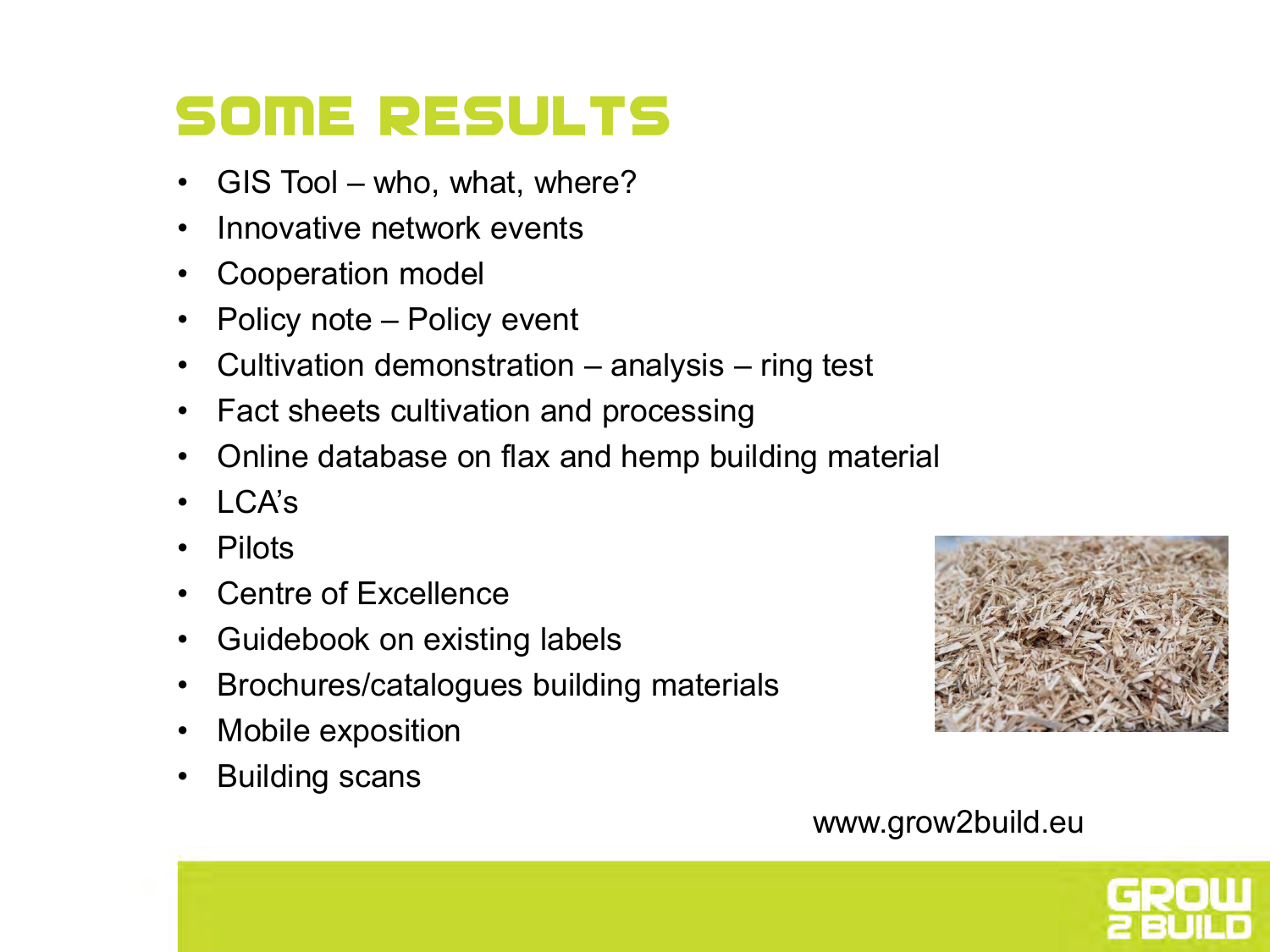### **SOME RESULTS**

- GIS Tool who, what, where?
- Innovative network events
- Cooperation model
- Policy note Policy event
- Cultivation demonstration analysis ring test
- Fact sheets cultivation and processing
- Online database on flax and hemp building material
- $\cdot$  I CA's
- Pilots
- Centre of Excellence
- Guidebook on existing labels
- Brochures/catalogues building materials
- Mobile exposition
- Building scans



#### www.grow2build.eu

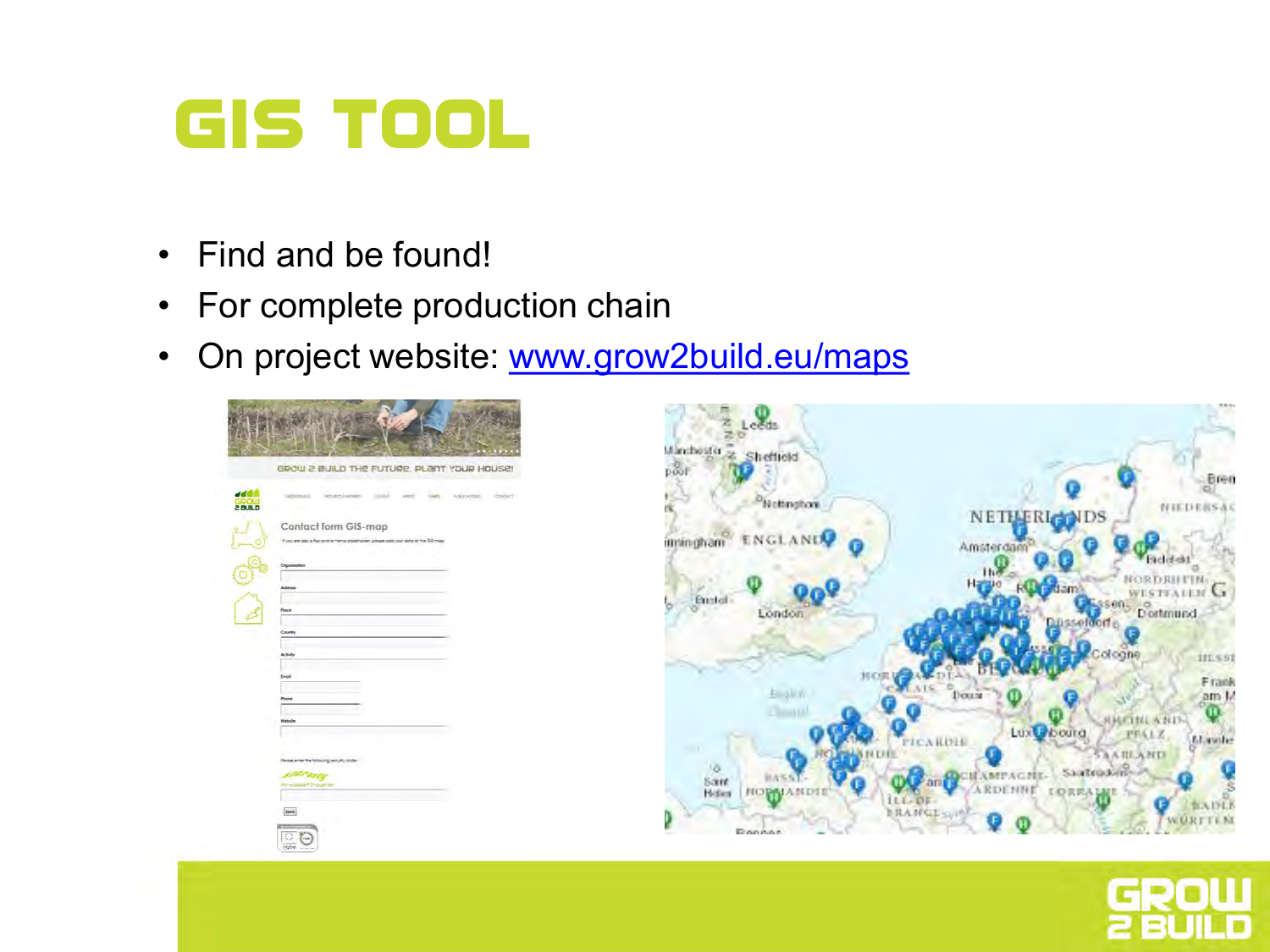### **GIS Tool**

- Find and be found!
- For complete production chain
- On project website: [www.grow2build.eu/maps](http://www.grow2build.eu/maps)





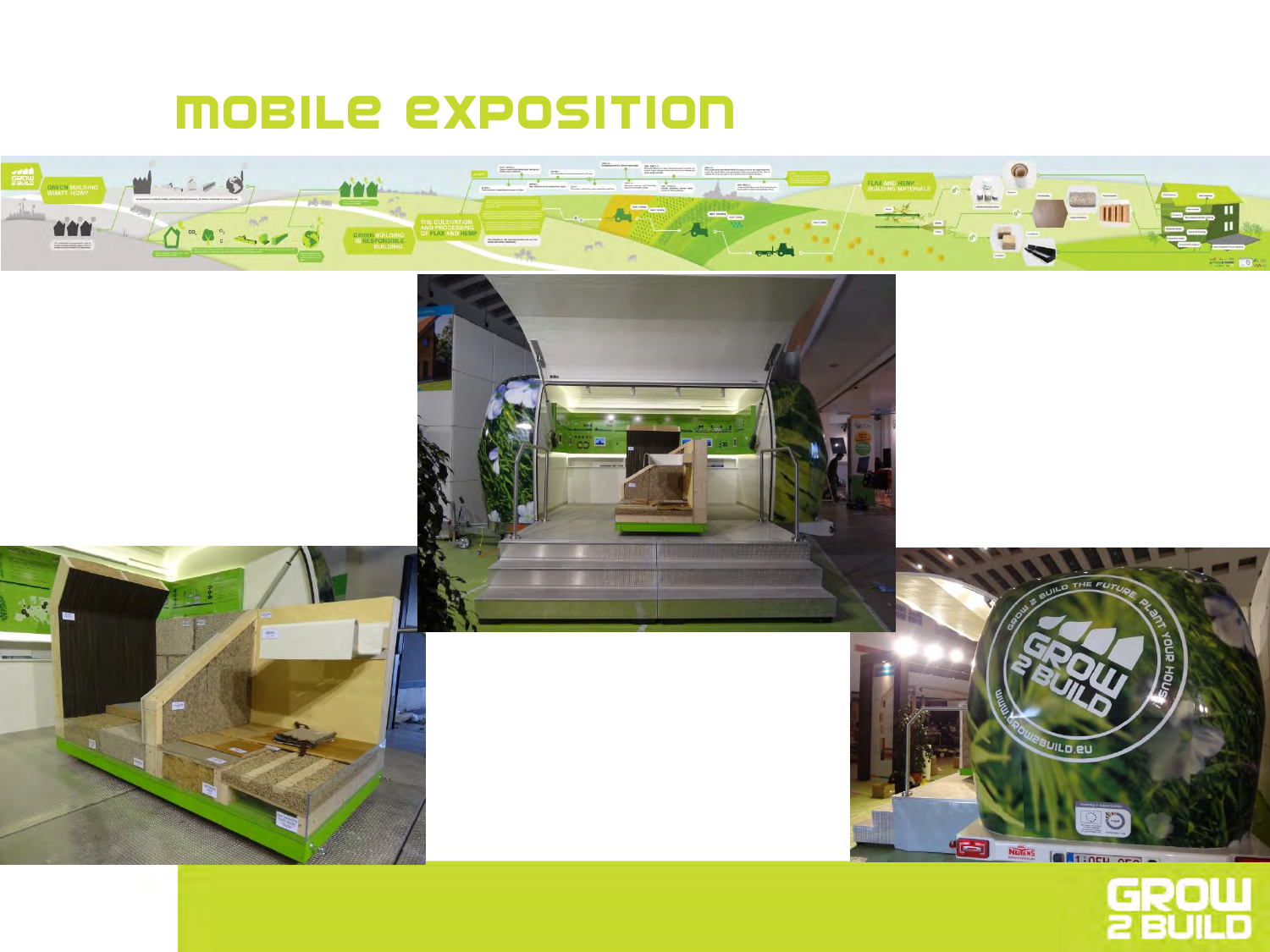#### Mobile exposition









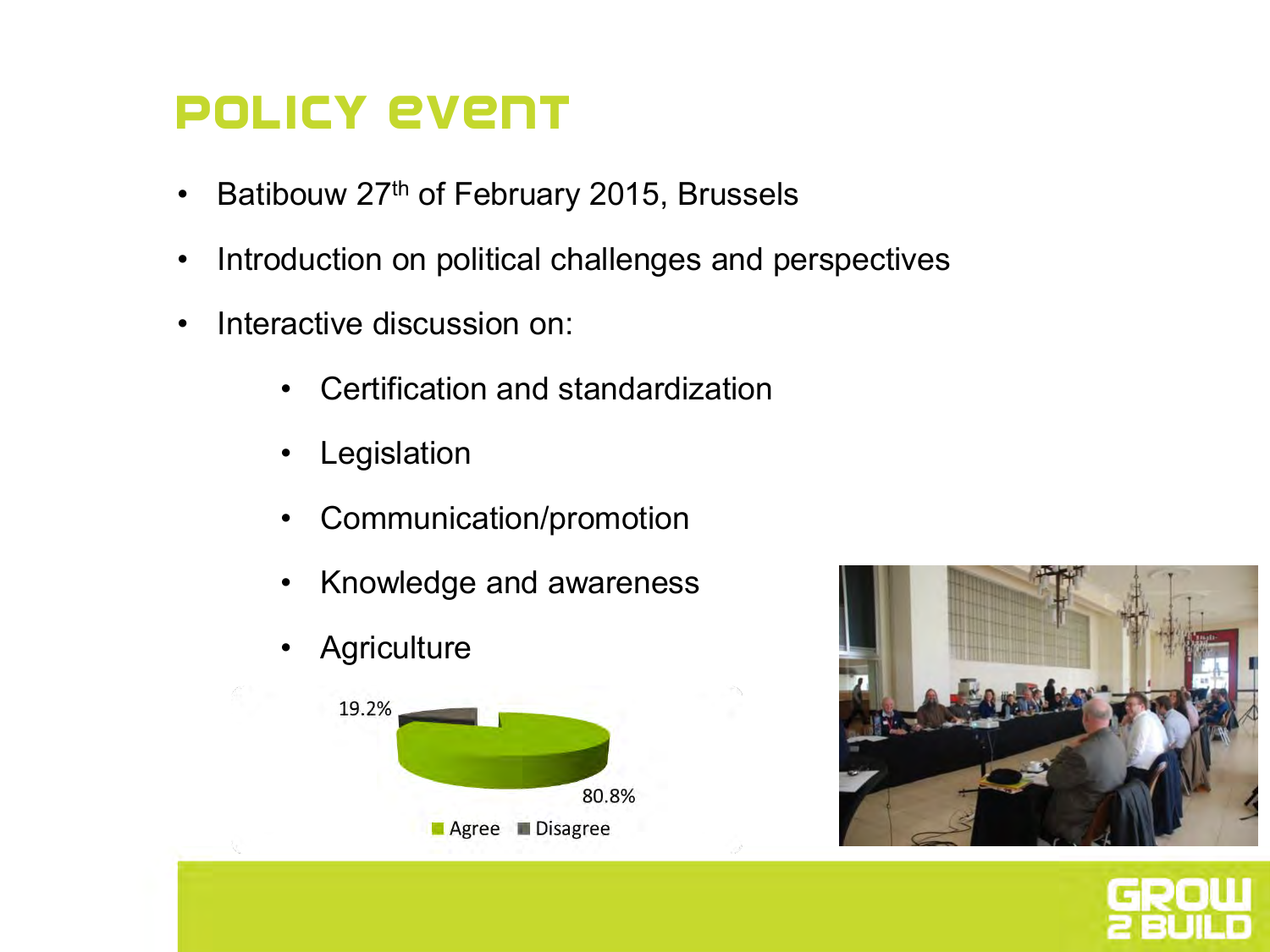#### Policy event

- Batibouw 27<sup>th</sup> of February 2015, Brussels
- Introduction on political challenges and perspectives
- Interactive discussion on:
	- Certification and standardization
	- **Legislation**
	- Communication/promotion
	- Knowledge and awareness
	- **Agriculture**





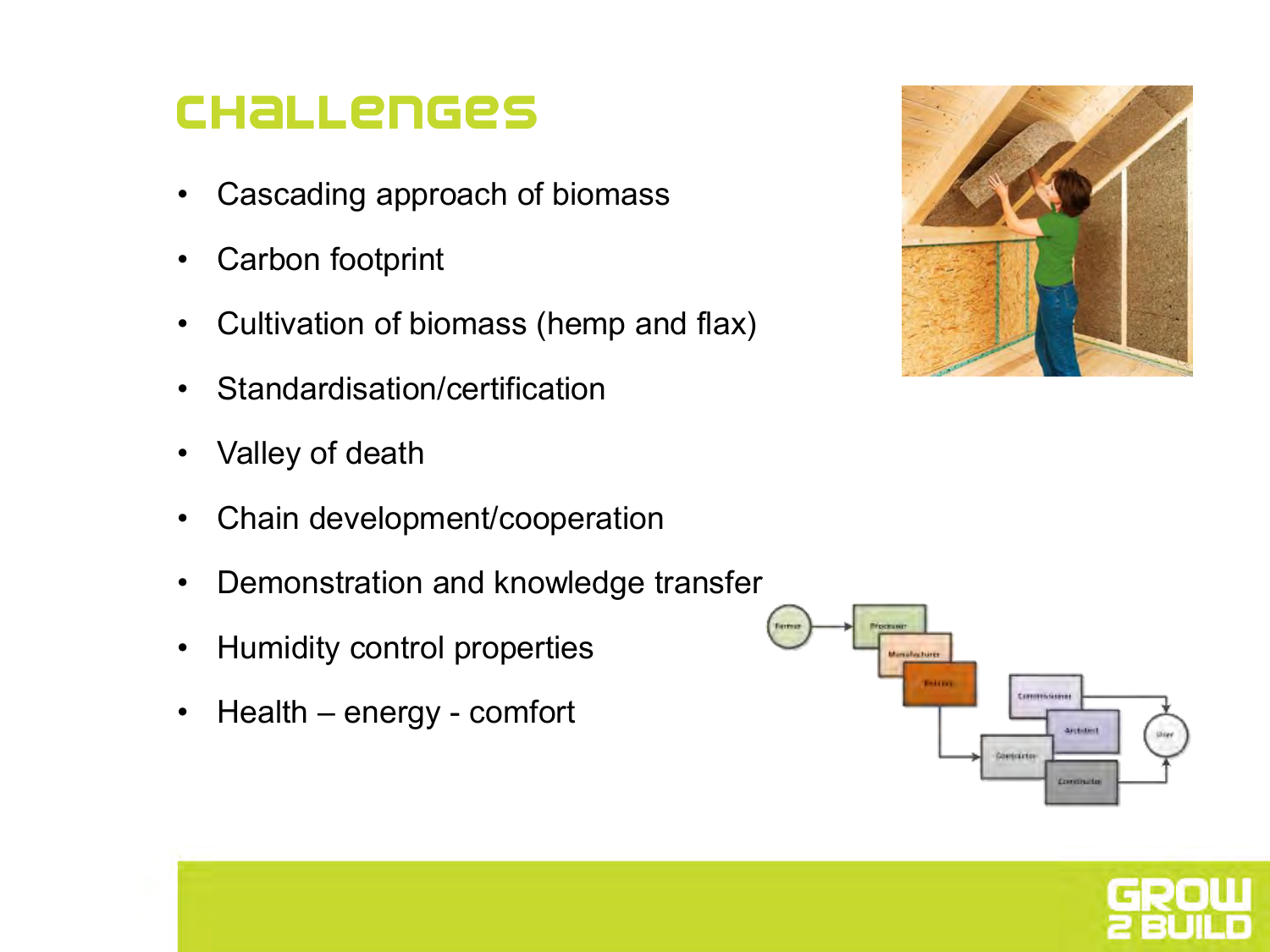#### Challenges

- Cascading approach of biomass
- Carbon footprint
- Cultivation of biomass (hemp and flax)
- Standardisation/certification
- Valley of death
- Chain development/cooperation
- Demonstration and knowledge transfer
- Humidity control properties
- Health energy comfort





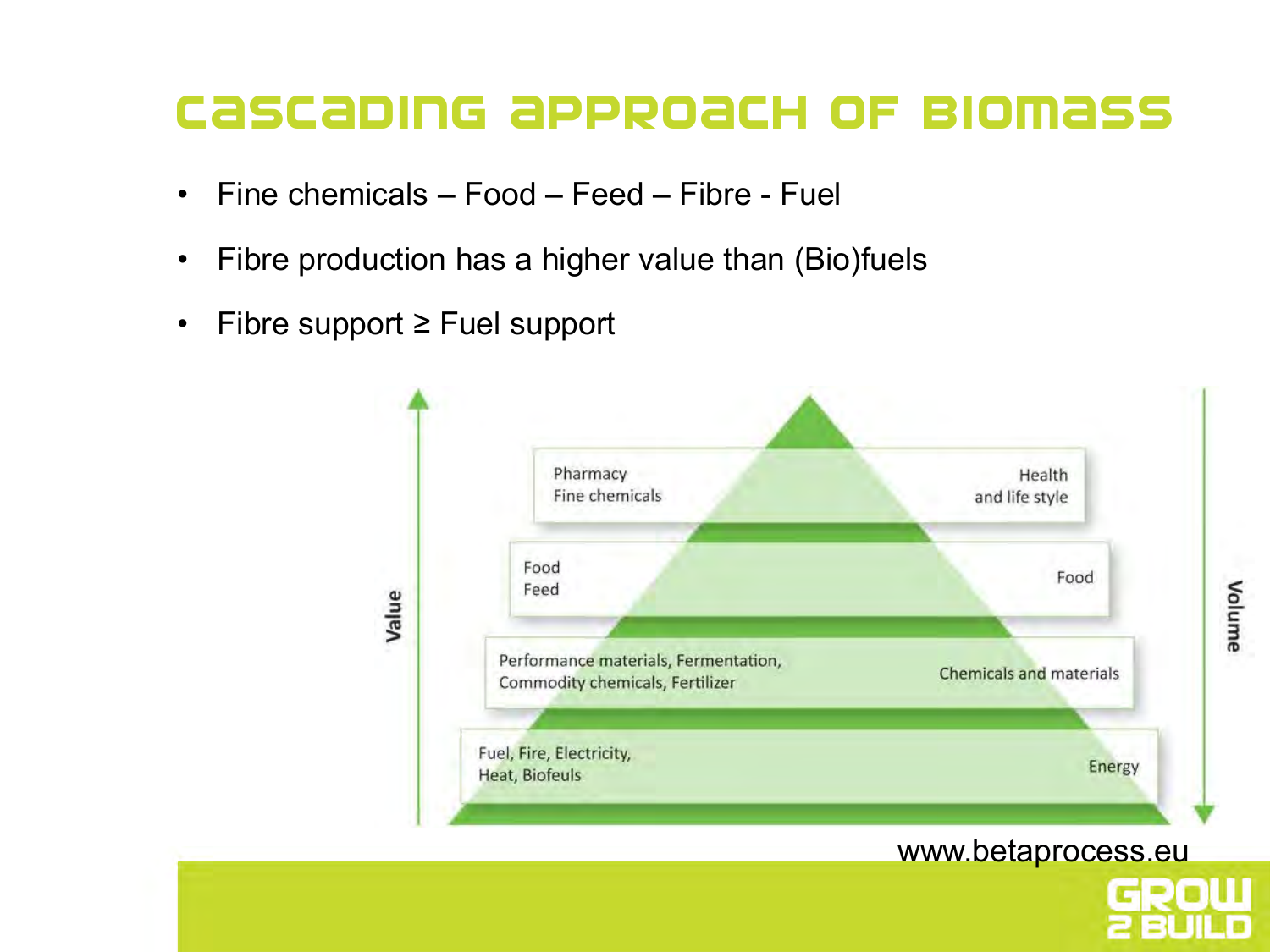#### Cascading approach of biomass

- Fine chemicals Food Feed Fibre Fuel
- Fibre production has a higher value than (Bio)fuels
- Fibre support ≥ Fuel support

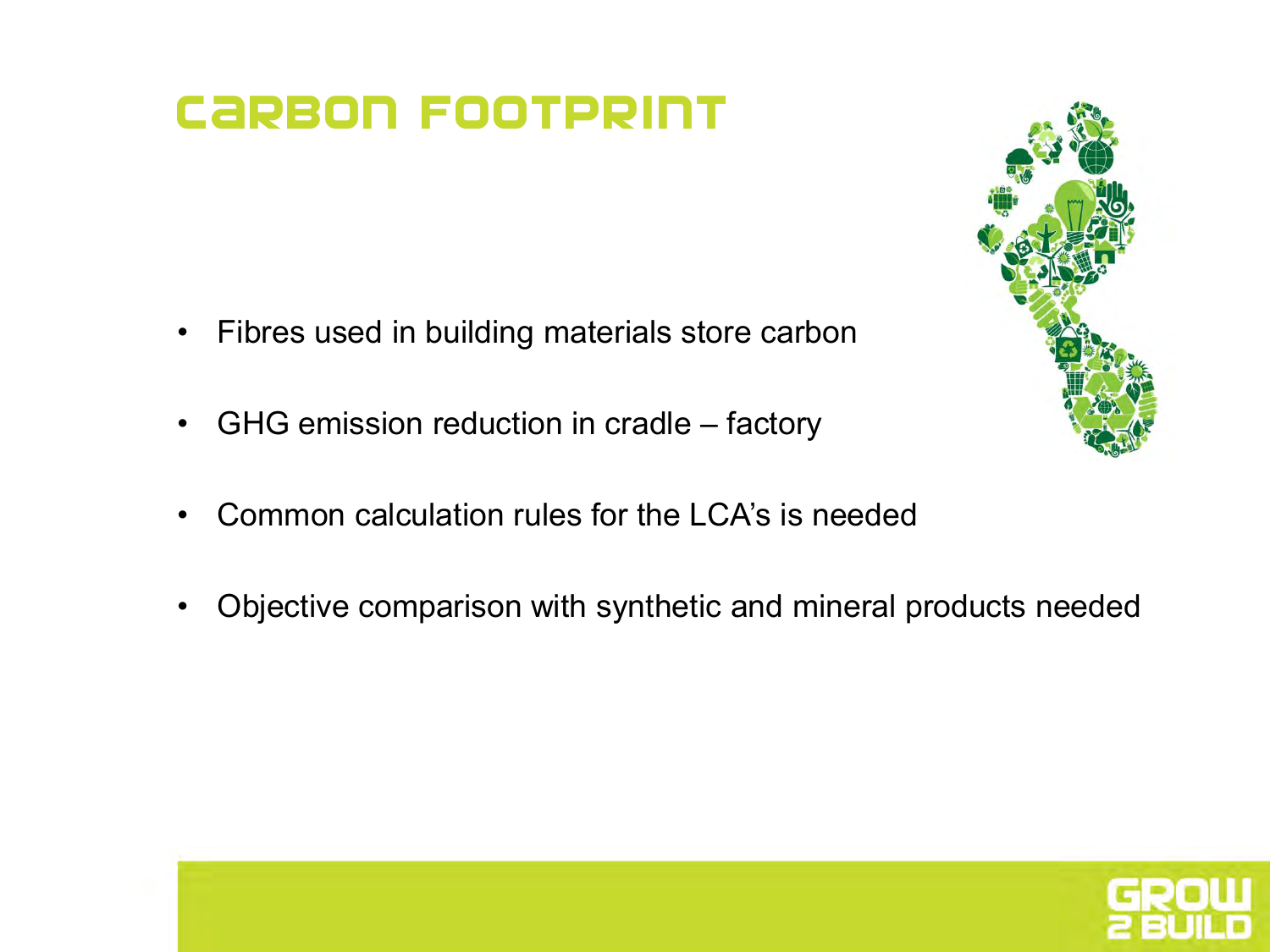#### **CARBON FOOTPRINT**

- Fibres used in building materials store carbon
- GHG emission reduction in cradle factory
- Common calculation rules for the LCA's is needed
- Objective comparison with synthetic and mineral products needed



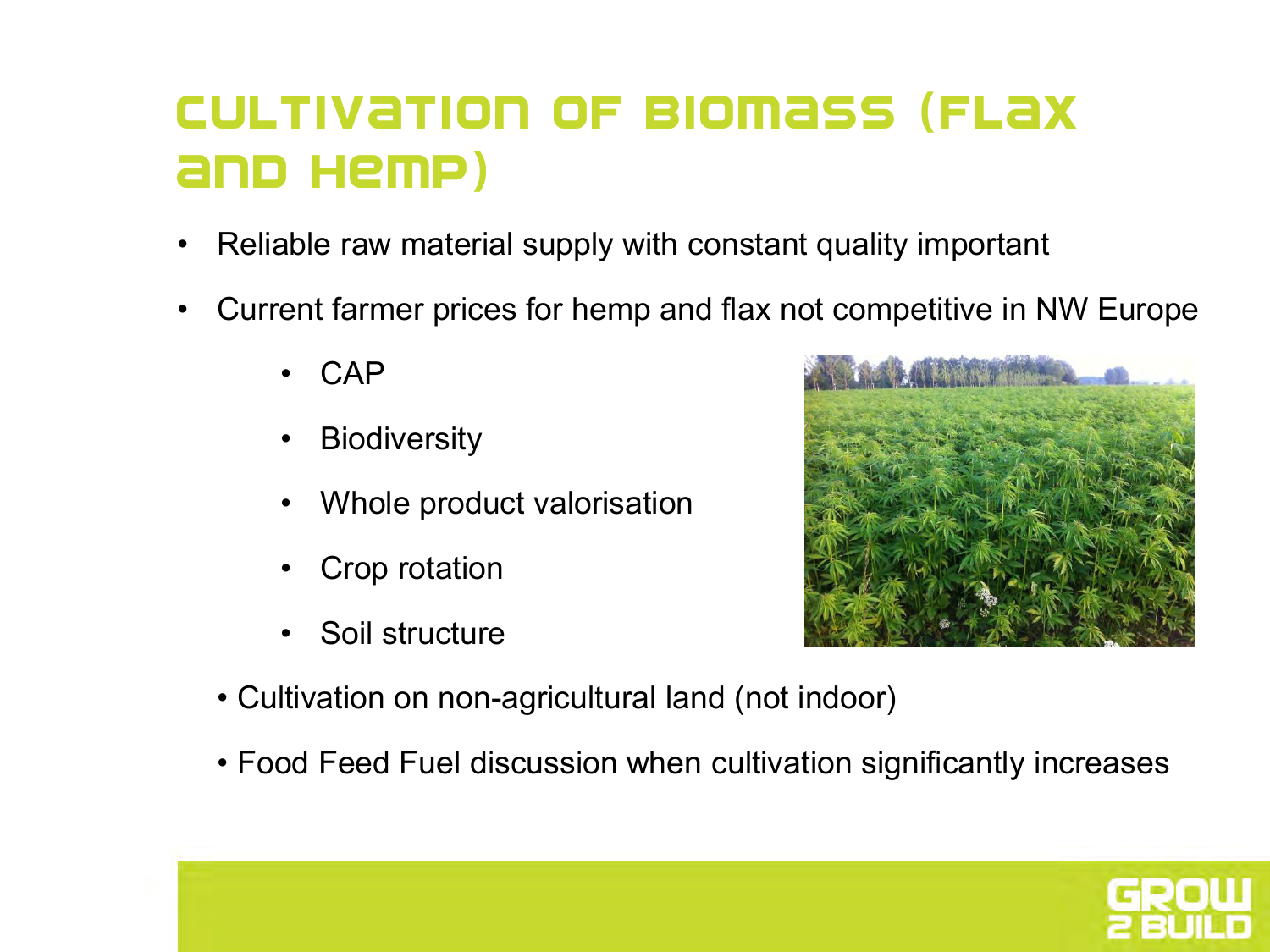#### Cultivation of biomass (flax and hemp)

- Reliable raw material supply with constant quality important
- Current farmer prices for hemp and flax not competitive in NW Europe
	- CAP
	- **Biodiversity**
	- Whole product valorisation
	- Crop rotation
	- Soil structure



- Cultivation on non-agricultural land (not indoor)
- Food Feed Fuel discussion when cultivation significantly increases

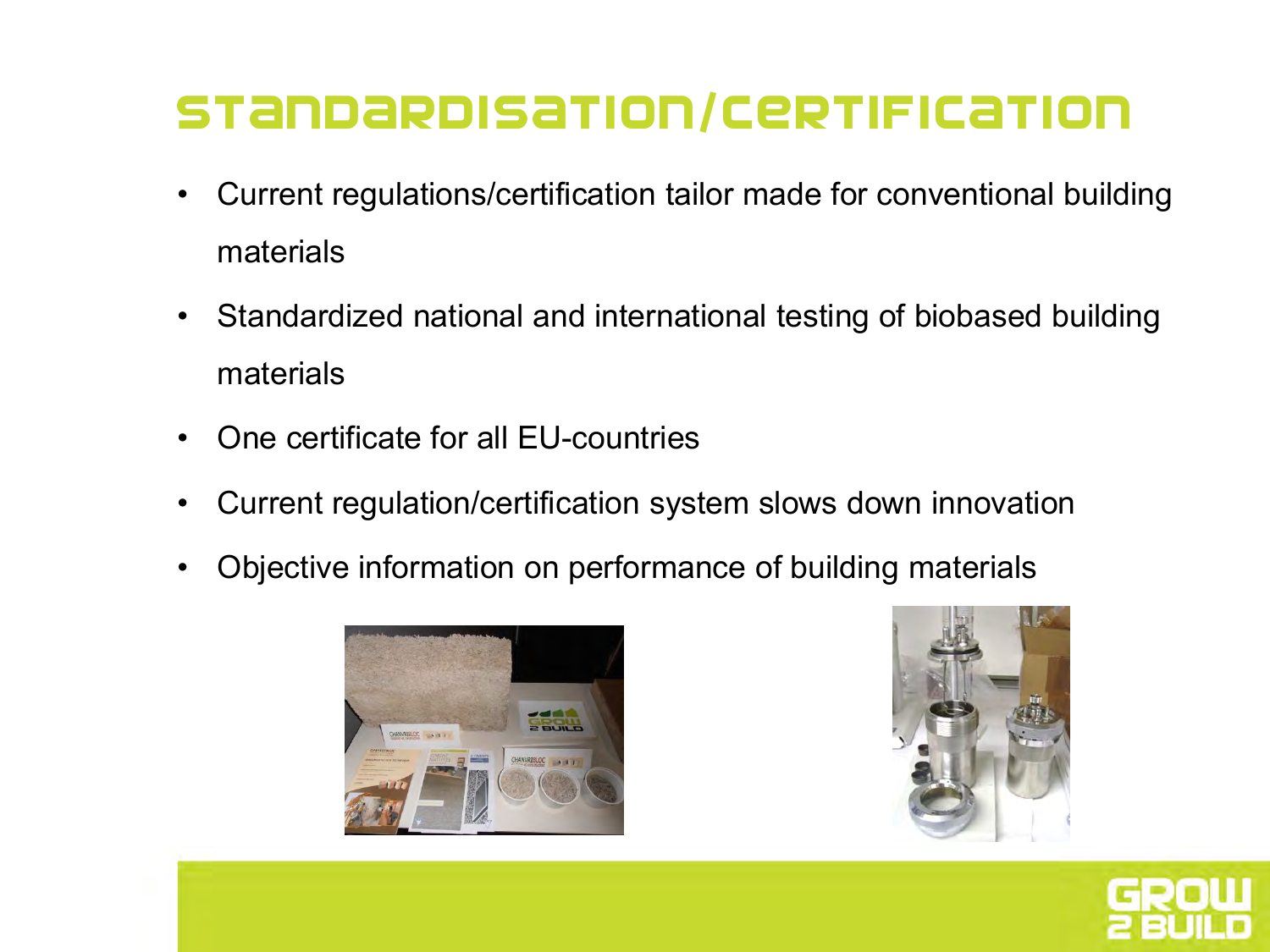#### Standardisation/certification

- Current regulations/certification tailor made for conventional building materials
- Standardized national and international testing of biobased building materials
- One certificate for all EU-countries
- Current regulation/certification system slows down innovation
- Objective information on performance of building materials





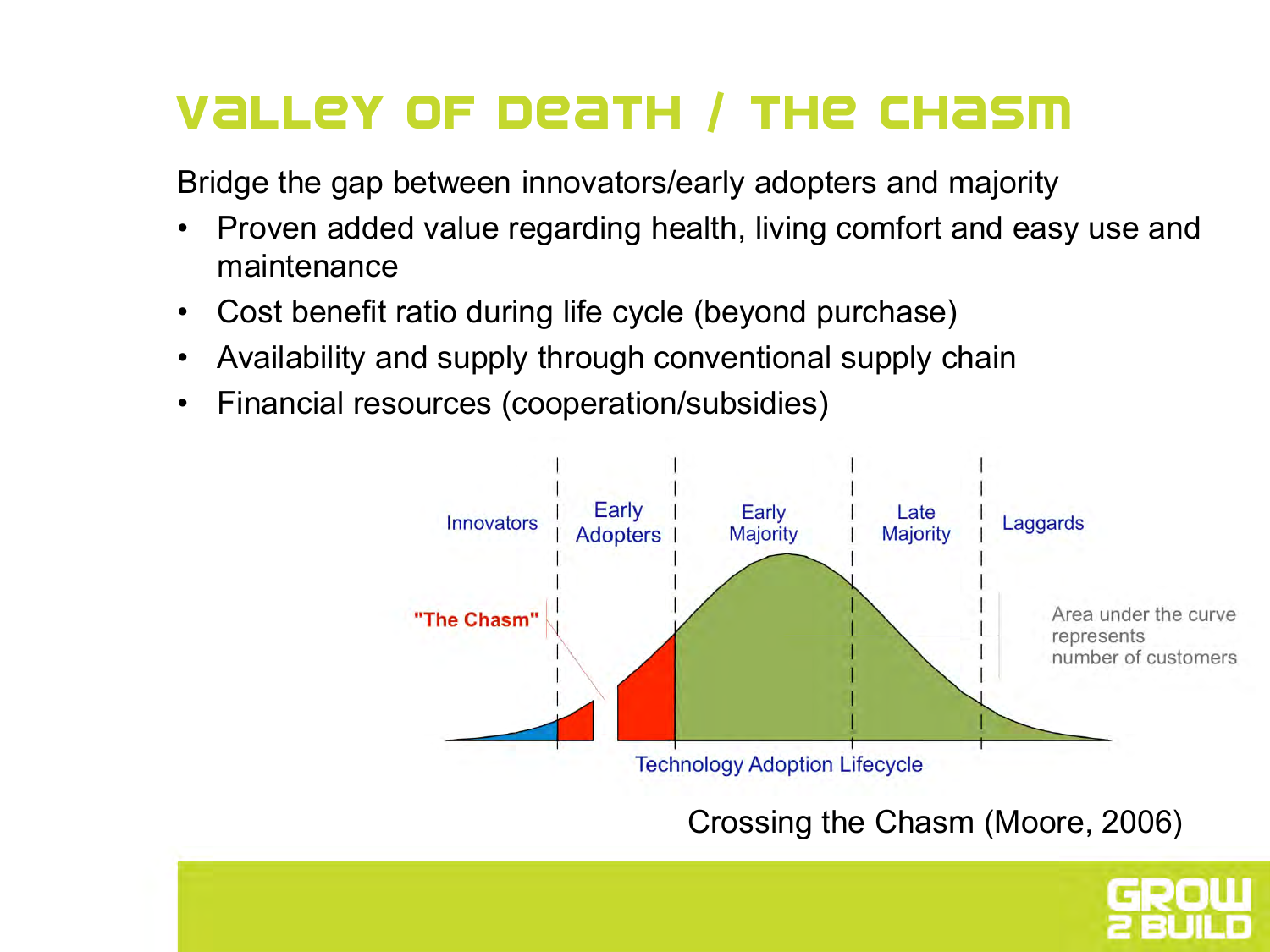#### Valley of death / The chasm

Bridge the gap between innovators/early adopters and majority

- Proven added value regarding health, living comfort and easy use and maintenance
- Cost benefit ratio during life cycle (beyond purchase)
- Availability and supply through conventional supply chain
- Financial resources (cooperation/subsidies)



Crossing the Chasm (Moore, 2006)

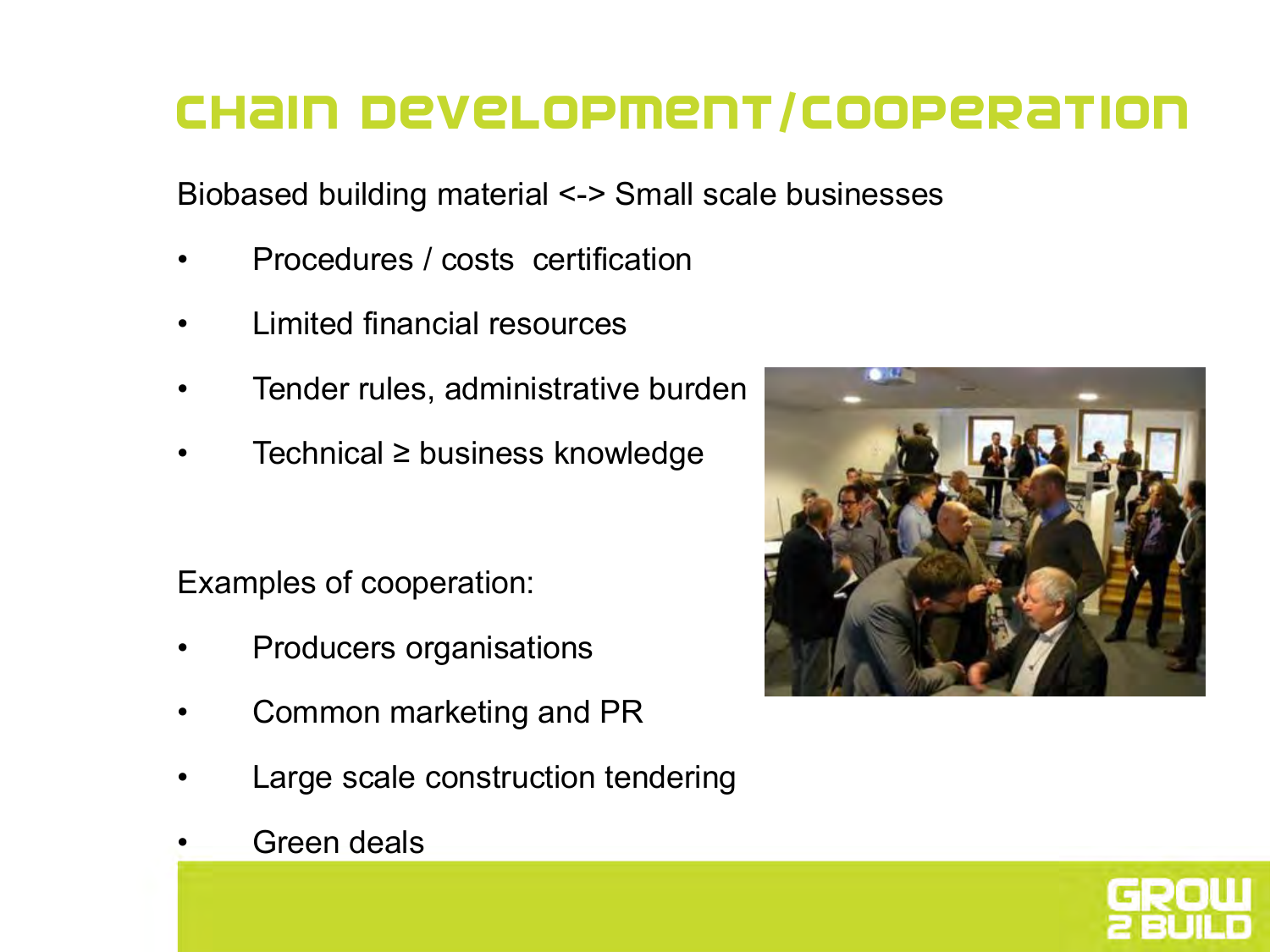#### Chain development/cooperation

Biobased building material <-> Small scale businesses

- Procedures / costs certification
- Limited financial resources
- Tender rules, administrative burden
- Technical ≥ business knowledge

Examples of cooperation:

- Producers organisations
- Common marketing and PR
- Large scale construction tendering





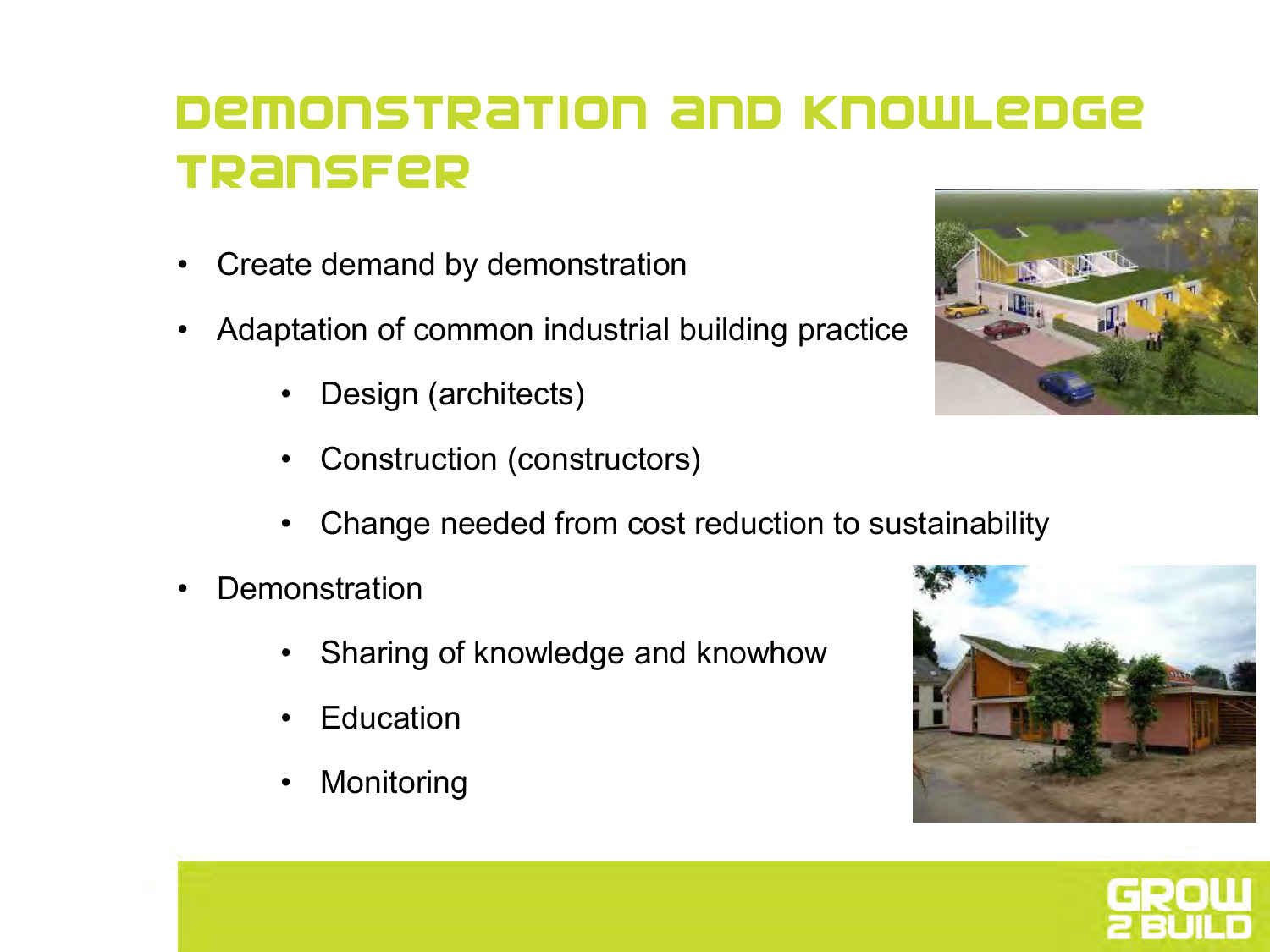#### Demonstration and knowledge transfer

- Create demand by demonstration
- Adaptation of common industrial building practice
	- Design (architects)
	- Construction (constructors)
	- Change needed from cost reduction to sustainability
- **Demonstration** 
	- Sharing of knowledge and knowhow
	- **Education**
	- **Monitoring**





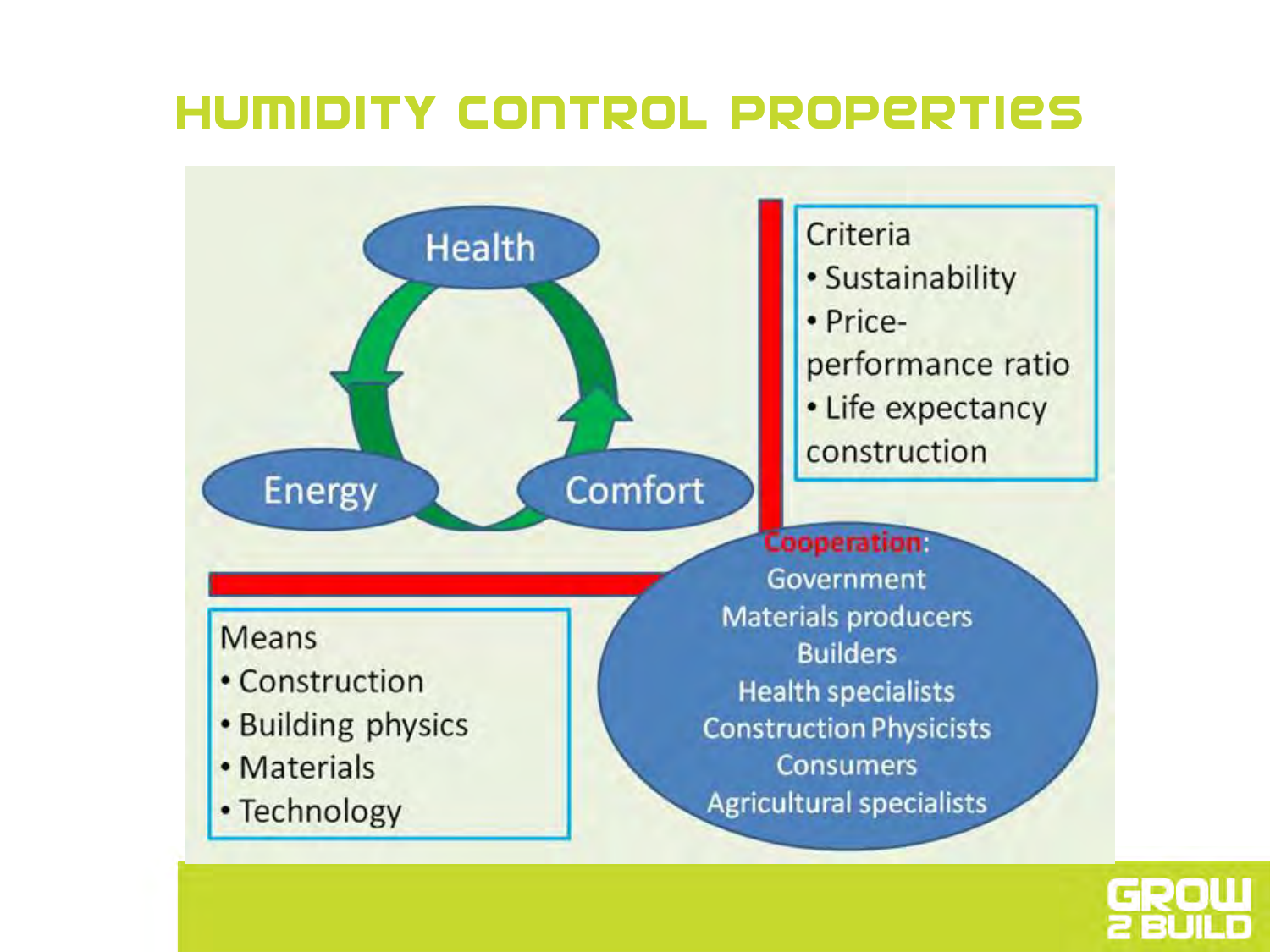#### Humidity control properties



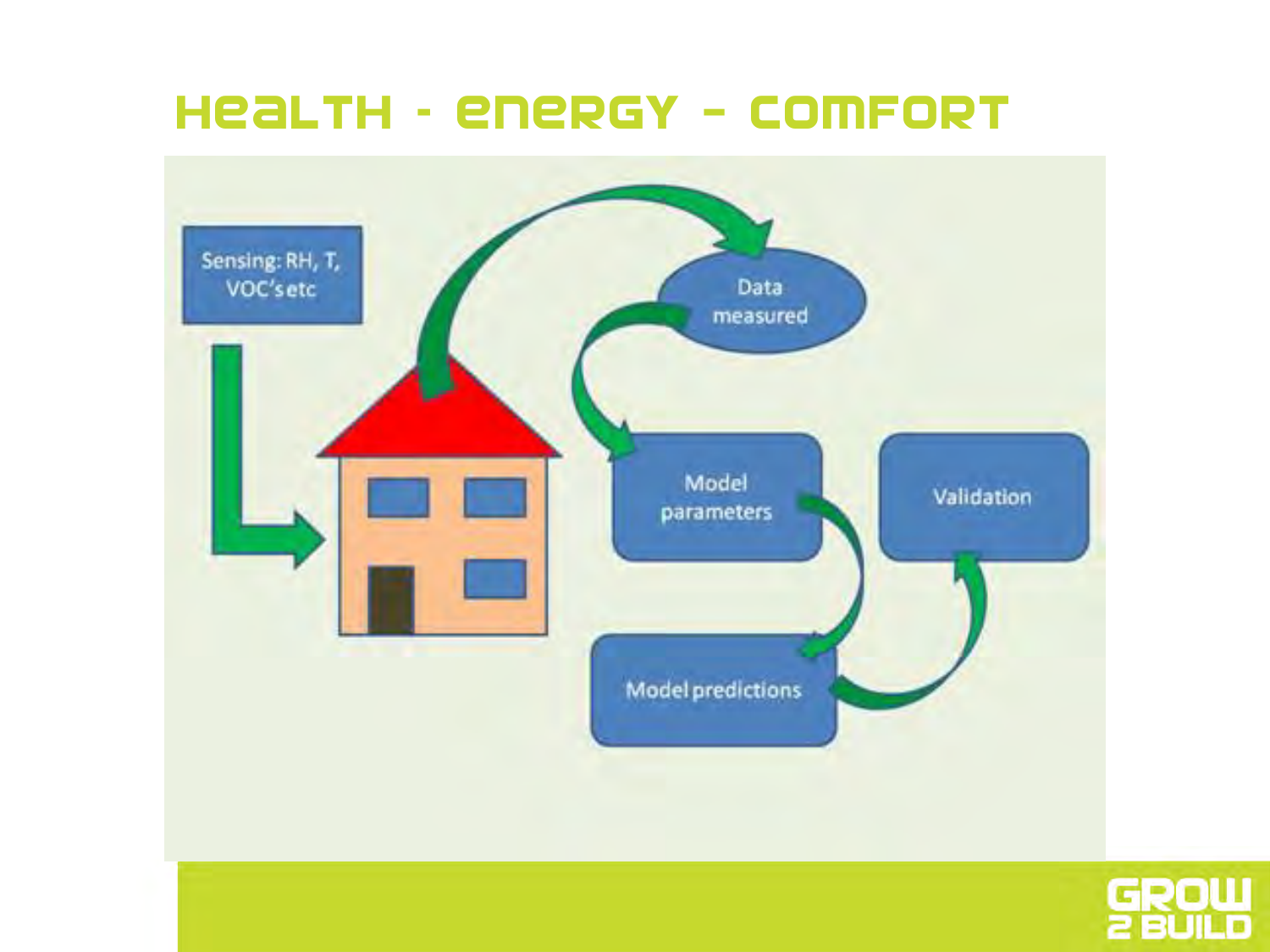#### Health – energy - comfort



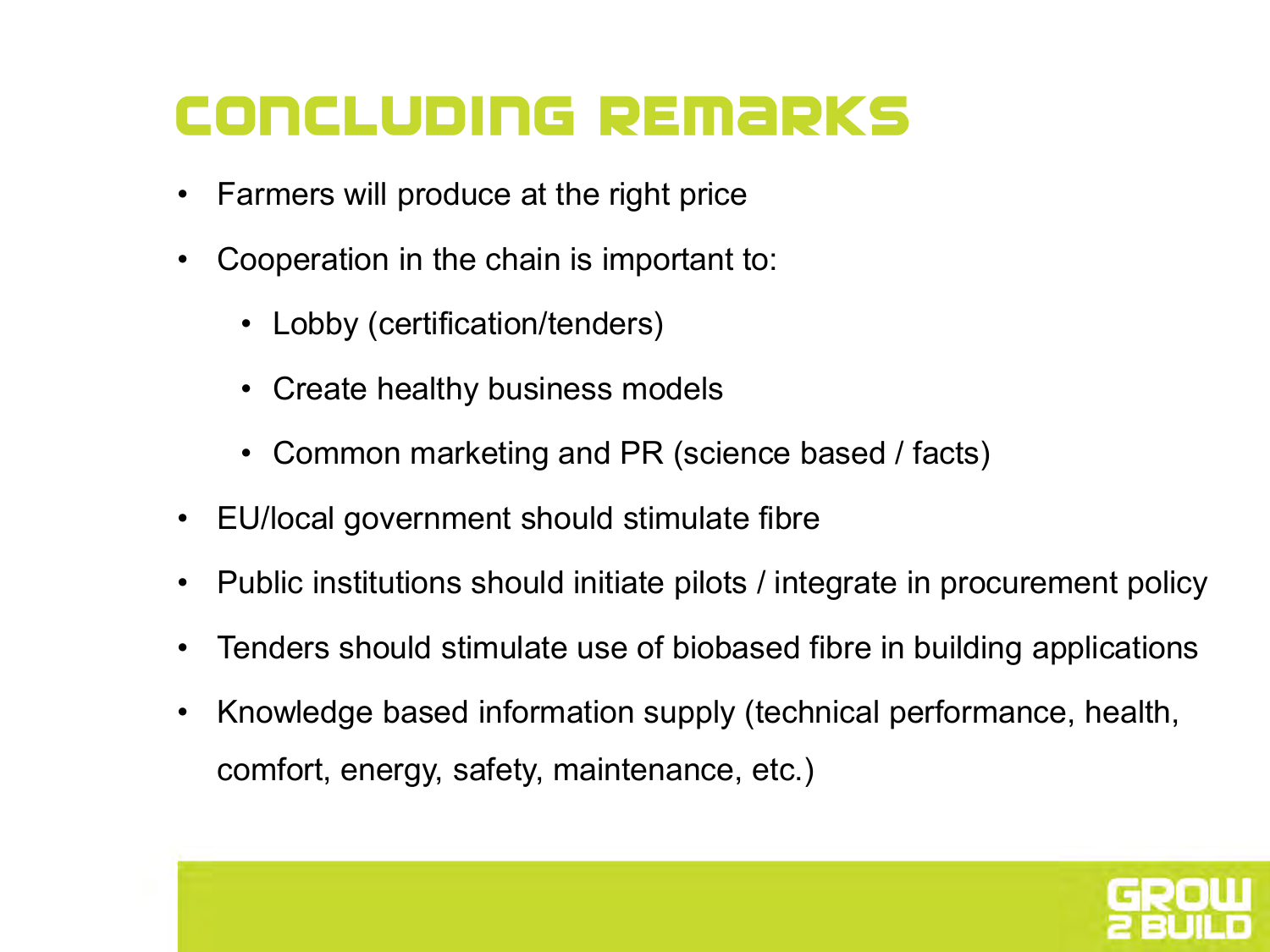### **CONCLUDING REMARKS**

- Farmers will produce at the right price
- Cooperation in the chain is important to:
	- Lobby (certification/tenders)
	- Create healthy business models
	- Common marketing and PR (science based / facts)
- EU/local government should stimulate fibre
- Public institutions should initiate pilots / integrate in procurement policy
- Tenders should stimulate use of biobased fibre in building applications
- Knowledge based information supply (technical performance, health, comfort, energy, safety, maintenance, etc.)